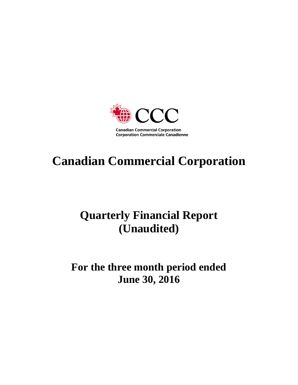

# **Canadian Commercial Corporation**

# **Quarterly Financial Report (Unaudited)**

# **For the three month period ended June 30, 2016**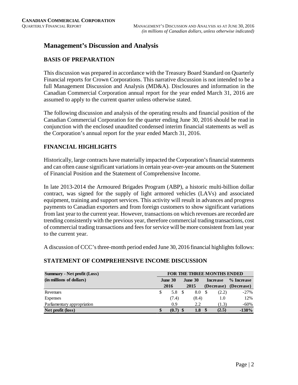## **Management's Discussion and Analysis**

## **BASIS OF PREPARATION**

This discussion was prepared in accordance with the Treasury Board Standard on Quarterly Financial reports for Crown Corporations. This narrative discussion is not intended to be a full Management Discussion and Analysis (MD&A). Disclosures and information in the Canadian Commercial Corporation annual report for the year ended March 31, 2016 are assumed to apply to the current quarter unless otherwise stated.

The following discussion and analysis of the operating results and financial position of the Canadian Commercial Corporation for the quarter ending June 30, 2016 should be read in conjunction with the enclosed unaudited condensed interim financial statements as well as the Corporation's annual report for the year ended March 31, 2016.

## **FINANCIAL HIGHLIGHTS**

Historically, large contracts have materially impacted the Corporation's financial statements and can often cause significant variations in certain year-over-year amounts on the Statement of Financial Position and the Statement of Comprehensive Income.

In late 2013-2014 the Armoured Brigades Program (ABP), a historic multi-billion dollar contract, was signed for the supply of light armored vehicles (LAVs) and associated equipment, training and support services. This activity will result in advances and progress payments to Canadian exporters and from foreign customers to show significant variations from last year to the current year. However, transactions on which revenues are recorded are trending consistently with the previous year, therefore commercial trading transactions, cost of commercial trading transactions and fees for service will be more consistent from last year to the current year.

A discussion of CCC's three-month period ended June 30, 2016 financial highlights follows:

## **STATEMENT OF COMPREHENSIVE INCOME DISCUSSION**

| <b>Summary - Net profit (Loss)</b> | <b>FOR THE THREE MONTHS ENDED</b> |       |  |         |  |                 |            |  |  |
|------------------------------------|-----------------------------------|-------|--|---------|--|-----------------|------------|--|--|
| (in millions of dollars)           | June 30                           |       |  | June 30 |  | <b>Increase</b> | % Increase |  |  |
|                                    |                                   | 2016  |  | 2015    |  | (Decrease)      | (Decrease) |  |  |
| Revenues                           | S                                 | 5.8   |  | 8.0     |  | (2.2)           | $-27\%$    |  |  |
| <b>Expenses</b>                    |                                   | (7.4) |  | (8.4)   |  | 1.0             | 12%        |  |  |
| Parliamentary appropriation        |                                   | 0.9   |  | 2.2     |  | (1.3)           | -60%       |  |  |
| Net profit (loss)                  |                                   | (0.7) |  | 1.8     |  | (2.5)           | $-138%$    |  |  |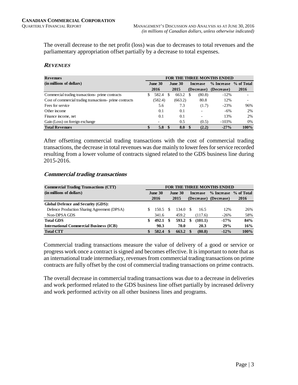The overall decrease to the net profit (loss) was due to decreases to total revenues and the parliamentary appropriation offset partially by a decrease to total expenses.

#### **REVENUES**

| <b>Revenues</b>                                          | <b>FOR THE THREE MONTHS ENDED</b> |         |                |         |                 |        |                       |                          |  |  |
|----------------------------------------------------------|-----------------------------------|---------|----------------|---------|-----------------|--------|-----------------------|--------------------------|--|--|
| (in millions of dollars)                                 | June 30                           |         | <b>June 30</b> |         | <b>Increase</b> |        | % Increase % of Total |                          |  |  |
|                                                          |                                   | 2016    | 2015           |         | (Decrease)      |        | (Decrease)            | <b>2016</b>              |  |  |
| Commercial trading transactions- prime contracts         | S                                 | 582.4   | \$.            | 663.2   |                 | (80.8) | $-12%$                |                          |  |  |
| Cost of commercial trading transactions- prime contracts |                                   | (582.4) |                | (663.2) |                 | 80.8   | 12%                   | $\overline{\phantom{0}}$ |  |  |
| Fees for service                                         |                                   | 5.6     |                | 7.3     |                 | (1.7)  | $-23%$                | 96%                      |  |  |
| Other income                                             |                                   | 0.1     |                | 0.1     |                 |        | $-6%$                 | 2%                       |  |  |
| Finance income, net                                      |                                   | 0.1     |                | 0.1     |                 | -      | 13%                   | 2%                       |  |  |
| Gain (Loss) on foreign exchange                          |                                   |         |                | 0.5     |                 | (0.5)  | $-103%$               | 0%                       |  |  |
| <b>Total Revenues</b>                                    | \$                                | 5.8     | -8             | 8.0     |                 | (2.2)  | $-27\%$               | 100%                     |  |  |

After offsetting commercial trading transactions with the cost of commercial trading transactions, the decrease in total revenues was due mainly to lower fees for service recorded resulting from a lower volume of contracts signed related to the GDS business line during 2015-2016.

#### **Commercial trading transactions**

| <b>Commercial Trading Transactions (CTT)</b>   | <b>FOR THE THREE MONTHS ENDED</b> |         |    |         |    |                 |                       |             |  |  |
|------------------------------------------------|-----------------------------------|---------|----|---------|----|-----------------|-----------------------|-------------|--|--|
| (in millions of dollars)                       |                                   | June 30 |    | June 30 |    | <b>Increase</b> | % Increase % of Total |             |  |  |
|                                                |                                   | 2016    |    | 2015    |    |                 | (Decrease) (Decrease) | <b>2016</b> |  |  |
| <b>Global Defence and Security (GDS):</b>      |                                   |         |    |         |    |                 |                       |             |  |  |
| Defence Production Sharing Agreement (DPSA)    |                                   | 150.5   |    | 134.0   | S  | 16.5            | 12%                   | 26%         |  |  |
| Non-DPSA GDS                                   |                                   | 341.6   |    | 459.2   |    | (117.6)         | $-26%$                | 58%         |  |  |
| <b>Total GDS</b>                               | \$                                | 492.1   | -S | 593.2   | \$ | (101.1)         | $-17%$                | 84%         |  |  |
| <b>International Commercial Business (ICB)</b> |                                   | 90.3    |    | 70.0    |    | 20.3            | 29%                   | 16%         |  |  |
| <b>Total CTT</b>                               |                                   | 582.4   |    | 663.2   |    | (80.8)          | $-12%$                | 100%        |  |  |

Commercial trading transactions measure the value of delivery of a good or service or progress work once a contract is signed and becomes effective. It is important to note that as an international trade intermediary, revenues from commercial trading transactions on prime contracts are fully offset by the cost of commercial trading transactions on prime contracts.

The overall decrease in commercial trading transactions was due to a decrease in deliveries and work performed related to the GDS business line offset partially by increased delivery and work performed activity on all other business lines and programs.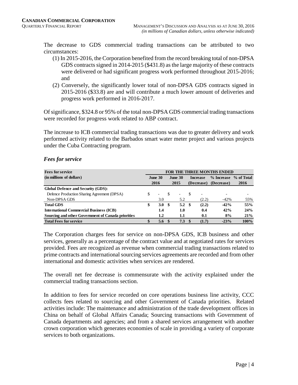The decrease to GDS commercial trading transactions can be attributed to two circumstances:

- (1) In 2015-2016, the Corporation benefited from the record breaking total of non-DPSA GDS contracts signed in 2014-2015 (\$431.8) as the large majority of these contracts were delivered or had significant progress work performed throughout 2015-2016; and
- (2) Conversely, the significantly lower total of non-DPSA GDS contracts signed in 2015-2016 (\$33.8) are and will contribute a much lower amount of deliveries and progress work performed in 2016-2017.

Of significance, \$324.8 or 95% of the total non-DPSA GDS commercial trading transactions were recorded for progress work related to ABP contract.

The increase to ICB commercial trading transactions was due to greater delivery and work performed activity related to the Barbados smart water meter project and various projects under the Cuba Contracting program.

| <b>Fees for service</b>                            | <b>FOR THE THREE MONTHS ENDED</b> |                           |      |                          |     |                 |            |            |  |
|----------------------------------------------------|-----------------------------------|---------------------------|------|--------------------------|-----|-----------------|------------|------------|--|
| (in millions of dollars)                           |                                   | June 30<br><b>June 30</b> |      |                          |     | <b>Increase</b> | % Increase | % of Total |  |
|                                                    |                                   | 2016<br>2015              |      | (Decrease)               |     | (Decrease)      | 2016       |            |  |
| Global Defence and Security (GDS):                 |                                   |                           |      |                          |     |                 |            |            |  |
| Defence Production Sharing Agreement (DPSA)        | \$.                               | $\overline{\phantom{0}}$  |      | $\overline{\phantom{a}}$ | \$. | ۰               |            |            |  |
| Non-DPSA GDS                                       |                                   | 3.0                       |      | 5.2                      |     | (2.2)           | $-42%$     | 55%        |  |
| <b>Total GDS</b>                                   | \$                                | 3.0                       | - \$ | 5.2 <sup>5</sup>         |     | (2.2)           | $-42%$     | 55%        |  |
| <b>International Commercial Business (ICB)</b>     |                                   | 1.4                       |      | 1.0                      |     | 0.4             | 42%        | 24%        |  |
| Sourcing and other Government of Canada priorities |                                   | 1.2                       |      | 1.1                      |     | 0.1             | 8%         | 21%        |  |
| <b>Total Fees for service</b>                      | S                                 | $5.6^{\circ}$             |      | $7.3 \tS$                |     | (1.7)           | $-23%$     | 100%       |  |

### *Fees for service*

The Corporation charges fees for service on non-DPSA GDS, ICB business and other services, generally as a percentage of the contract value and at negotiated rates for services provided. Fees are recognized as revenue when commercial trading transactions related to prime contracts and international sourcing services agreements are recorded and from other international and domestic activities when services are rendered.

The overall net fee decrease is commensurate with the activity explained under the commercial trading transactions section.

In addition to fees for service recorded on core operations business line activity, CCC collects fees related to sourcing and other Government of Canada priorities. Related activities include: The maintenance and administration of the trade development offices in China on behalf of Global Affairs Canada; Sourcing transactions with Government of Canada departments and agencies; and from a shared services arrangement with another crown corporation which generates economies of scale in providing a variety of corporate services to both organizations.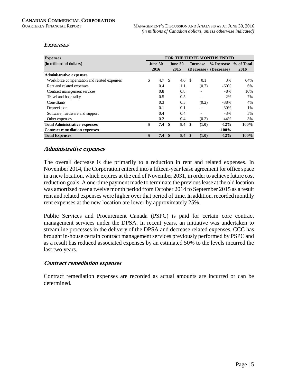#### **EXPENSES**

| <b>Expenses</b>                             | <b>FOR THE THREE MONTHS ENDED</b> |                           |     |                  |     |            |                       |         |  |
|---------------------------------------------|-----------------------------------|---------------------------|-----|------------------|-----|------------|-----------------------|---------|--|
| (in millions of dollars)                    |                                   | <b>June 30</b><br>June 30 |     | <b>Increase</b>  |     | % Increase | % of Total            |         |  |
|                                             |                                   | 2016                      |     | 2015             |     |            | (Decrease) (Decrease) | 2016    |  |
| <b>Administrative expenses</b>              |                                   |                           |     |                  |     |            |                       |         |  |
| Workforce compensation and related expenses | \$                                | 4.7                       | -\$ | 4.6 <sup>°</sup> |     | 0.1        | 3%                    | 64%     |  |
| Rent and related expenses                   |                                   | 0.4                       |     | 1.1              |     | (0.7)      | $-60%$                | 6%      |  |
| Contract management services                |                                   | 0.8                       |     | 0.8              |     |            | $-8%$                 | 10%     |  |
| Travel and hospitality                      |                                   | 0.5                       |     | 0.5              |     | ۰          | 2%                    | 7%      |  |
| Consultants                                 |                                   | 0.3                       |     | 0.5              |     | (0.2)      | $-38%$                | 4%      |  |
| Depreciation                                |                                   | 0.1                       |     | 0.1              |     |            | $-30\%$               | 1%      |  |
| Software, hardware and support              |                                   | 0.4                       |     | 0.4              |     |            | $-3%$                 | 5%      |  |
| Other expenses                              |                                   | 0.2                       |     | 0.4              |     | (0.2)      | $-44%$                | 3%      |  |
| <b>Total Administrative expenses</b>        | \$                                | 7.4                       | \$  | 8.4              | -\$ | (1.0)      | $-12%$                | $100\%$ |  |
| <b>Contract remediation expenses</b>        |                                   |                           |     | ۰                |     |            | $-100%$               | ۰       |  |
| <b>Total Expenses</b>                       | \$                                | 7.4                       | \$  | 8.4              | -\$ | (1.0)      | $-12%$                | 100%    |  |

#### **Administrative expenses**

The overall decrease is due primarily to a reduction in rent and related expenses. In November 2014, the Corporation entered into a fifteen-year lease agreement for office space in a new location, which expires at the end of November 2031, in order to achieve future cost reduction goals. A one-time payment made to terminate the previous lease at the old location was amortized over a twelve month period from October 2014 to September 2015 as a result rent and related expenses were higher over that period of time. In addition, recorded monthly rent expenses at the new location are lower by approximately 25%.

Public Services and Procurement Canada (PSPC) is paid for certain core contract management services under the DPSA. In recent years, an initiative was undertaken to streamline processes in the delivery of the DPSA and decrease related expenses, CCC has brought in-house certain contract management services previously performed by PSPC and as a result has reduced associated expenses by an estimated 50% to the levels incurred the last two years.

#### **Contract remediation expenses**

Contract remediation expenses are recorded as actual amounts are incurred or can be determined.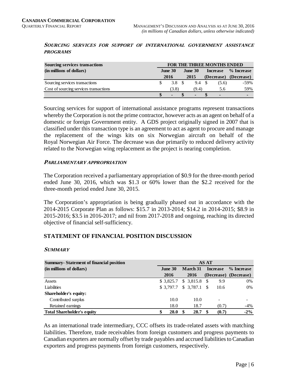#### **SOURCING SERVICES FOR SUPPORT OF INTERNATIONAL GOVERNMENT ASSISTANCE PROGRAMS**

| <b>Sourcing services transactions</b>  | FOR THE THREE MONTHS ENDED |                |  |                |  |                 |                       |  |  |
|----------------------------------------|----------------------------|----------------|--|----------------|--|-----------------|-----------------------|--|--|
| (in millions of dollars)               | June 30                    |                |  | June $30$      |  | <b>Increase</b> | % Increase            |  |  |
|                                        |                            | 2016           |  | 2015           |  |                 | (Decrease) (Decrease) |  |  |
| Sourcing services transactions         |                            | 3.8            |  | 9.4            |  | (5.6)           | $-59\%$               |  |  |
| Cost of sourcing services transactions |                            | (3.8)          |  | (9.4)          |  | 5.6             | 59%                   |  |  |
|                                        |                            | $\blacksquare$ |  | $\blacksquare$ |  | $\blacksquare$  | -                     |  |  |

Sourcing services for support of international assistance programs represent transactions whereby the Corporation is not the prime contractor, however acts as an agent on behalf of a domestic or foreign Government entity. A GDS project originally signed in 2007 that is classified under this transaction type is an agreement to act as agent to procure and manage the replacement of the wings kits on six Norwegian aircraft on behalf of the Royal Norwegian Air Force. The decrease was due primarily to reduced delivery activity related to the Norwegian wing replacement as the project is nearing completion.

#### **PARLIAMENTARY APPROPRIATION**

The Corporation received a parliamentary appropriation of \$0.9 for the three-month period ended June 30, 2016, which was \$1.3 or 60% lower than the \$2.2 received for the three-month period ended June 30, 2015.

The Corporation's appropriation is being gradually phased out in accordance with the 2014-2015 Corporate Plan as follows: \$15.7 in 2013-2014; \$14.2 in 2014-2015; \$8.9 in 2015-2016; \$3.5 in 2016-2017; and nil from 2017-2018 and ongoing, reaching its directed objective of financial self-sufficiency.

#### **STATEMENT OF FINANCIAL POSITION DISCUSSION**

#### **SUMMARY**

| <b>Summary-Statement of financial position</b> | <b>AS AT</b> |    |                       |    |                          |                       |  |  |  |
|------------------------------------------------|--------------|----|-----------------------|----|--------------------------|-----------------------|--|--|--|
| (in millions of dollars)                       | June $30$    |    | <b>March</b> 31       |    | <b>Increase</b>          | % Increase            |  |  |  |
|                                                | 2016         |    | 2016                  |    |                          | (Decrease) (Decrease) |  |  |  |
| Assets                                         | \$3,825.7    |    | $$3,815.8$ \$         |    | 9.9                      | 0%                    |  |  |  |
| Liabilities                                    |              |    | $$3,797.7$ $$3,787.1$ | -S | 10.6                     | 0%                    |  |  |  |
| Shareholder's equity:                          |              |    |                       |    |                          |                       |  |  |  |
| Contributed surplus                            | 10.0         |    | 10.0                  |    | $\overline{\phantom{a}}$ | ۰                     |  |  |  |
| Retained earnings                              | 18.0         |    | 18.7                  |    | (0.7)                    | $-4\%$                |  |  |  |
| <b>Total Shareholder's equity</b>              | 28.0<br>\$   | \$ | 28.7                  |    | (0.7)                    | $-2\%$                |  |  |  |

As an international trade intermediary, CCC offsets its trade-related assets with matching liabilities. Therefore, trade receivables from foreign customers and progress payments to Canadian exporters are normally offset by trade payables and accrued liabilities to Canadian exporters and progress payments from foreign customers, respectively.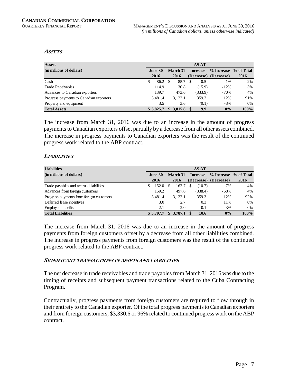#### **ASSETS**

| <b>Assets</b>                           | <b>AS AT</b> |           |          |            |     |                 |                       |      |  |  |
|-----------------------------------------|--------------|-----------|----------|------------|-----|-----------------|-----------------------|------|--|--|
| (in millions of dollars)                | June $30$    |           | March 31 |            |     | <b>Increase</b> | % Increase % of Total |      |  |  |
|                                         |              | 2016      |          | 2016       |     |                 | (Decrease) (Decrease) | 2016 |  |  |
| Cash                                    | S.           | 86.2      | -8       | 85.7       | \$. | 0.5             | 1%                    | 2%   |  |  |
| <b>Trade Receivables</b>                |              | 114.9     |          | 130.8      |     | (15.9)          | $-12%$                | 3%   |  |  |
| Advances to Canadian exporters          |              | 139.7     |          | 473.6      |     | (333.9)         | $-70%$                | 4%   |  |  |
| Progress payments to Canadian exporters |              | 3,481.4   |          | 3.122.1    |     | 359.3           | 12%                   | 91%  |  |  |
| Property and equipment                  |              | 3.5       |          | 3.6        |     | (0.1)           | $-3%$                 | 0%   |  |  |
| <b>Total Assets</b>                     |              | \$3.825.7 | \$       | 3,815.8 \$ |     | 9.9             | $0\%$                 | 100% |  |  |

The increase from March 31, 2016 was due to an increase in the amount of progress payments to Canadian exporters offset partially by a decrease from all other assets combined. The increase in progress payments to Canadian exporters was the result of the continued progress work related to the ABP contract.

#### **LIABILITIES**

| <b>Liabilities</b>                       | <b>AS AT</b>   |           |                 |           |                 |         |                       |         |  |
|------------------------------------------|----------------|-----------|-----------------|-----------|-----------------|---------|-----------------------|---------|--|
| (in millions of dollars)                 | <b>June 30</b> |           | <b>March</b> 31 |           | <b>Increase</b> |         | % Increase % of Total |         |  |
|                                          |                | 2016      |                 | 2016      |                 |         | (Decrease) (Decrease) | 2016    |  |
| Trade payables and accrued liabilities   | S              | 152.0     | \$.             | 162.7     |                 | (10.7)  | $-7%$                 | 4%      |  |
| Advances from foreign customers          |                | 159.2     |                 | 497.6     |                 | (338.4) | $-68%$                | 4%      |  |
| Progress payments from foreign customers |                | 3.481.4   |                 | 3.122.1   |                 | 359.3   | 12%                   | 92%     |  |
| Deferred lease incentives                |                | 3.0       |                 | 2.7       |                 | 0.3     | 11%                   | 0%      |  |
| Employee benefits                        |                | 2.1       |                 | 2.0       |                 | 0.1     | 3%                    | 0%      |  |
| <b>Total Liabilities</b>                 |                | \$3,797.7 |                 | \$3,787.1 |                 | 10.6    | $0\%$                 | $100\%$ |  |

The increase from March 31, 2016 was due to an increase in the amount of progress payments from foreign customers offset by a decrease from all other liabilities combined. The increase in progress payments from foreign customers was the result of the continued progress work related to the ABP contract.

#### **SIGNIFICANT TRANSACTIONS IN ASSETS AND LIABILITIES**

The net decrease in trade receivables and trade payables from March 31, 2016 was due to the timing of receipts and subsequent payment transactions related to the Cuba Contracting Program.

Contractually, progress payments from foreign customers are required to flow through in their entirety to the Canadian exporter. Of the total progress payments to Canadian exporters and from foreign customers, \$3,330.6 or 96% related to continued progress work on the ABP contract.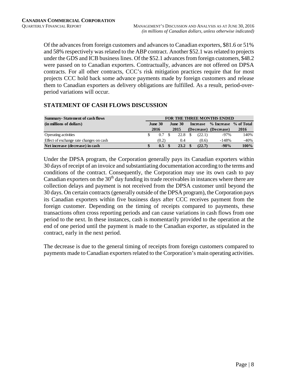Of the advances from foreign customers and advances to Canadian exporters, \$81.6 or 51% and 58% respectively was related to the ABP contract. Another \$52.1 was related to projects under the GDS and ICB business lines. Of the \$52.1 advances from foreign customers, \$48.2 were passed on to Canadian exporters. Contractually, advances are not offered on DPSA contracts. For all other contracts, CCC's risk mitigation practices require that for most projects CCC hold back some advance payments made by foreign customers and release them to Canadian exporters as delivery obligations are fulfilled. As a result, period-overperiod variations will occur.

## **STATEMENT OF CASH FLOWS DISCUSSION**

| <b>Summary-Statement of cash flows</b>  | <b>FOR THE THREE MONTHS ENDED</b> |       |                                   |      |  |                       |                       |        |  |  |
|-----------------------------------------|-----------------------------------|-------|-----------------------------------|------|--|-----------------------|-----------------------|--------|--|--|
| (in millions of dollars)                | June 30                           |       | <b>June 30</b><br><b>Increase</b> |      |  | % Increase % of Total |                       |        |  |  |
|                                         |                                   | 2016  |                                   | 2015 |  |                       | (Decrease) (Decrease) | 2016   |  |  |
| <b>Operating activities</b>             |                                   | 0.7   |                                   | 22.8 |  | (22.1)                | $-97\%$               | 140%   |  |  |
| Effect of exchange rate changes on cash |                                   | (0.2) |                                   | 0.4  |  | (0.6)                 | $-148%$               | $-40%$ |  |  |
| Net increase (decrease) in cash         |                                   | 0.5   |                                   | 23.2 |  | (22.7)                | $-98%$                | 100%   |  |  |

Under the DPSA program, the Corporation generally pays its Canadian exporters within 30 days of receipt of an invoice and substantiating documentation according to the terms and conditions of the contract. Consequently, the Corporation may use its own cash to pay Canadian exporters on the  $30<sup>th</sup>$  day funding its trade receivables in instances where there are collection delays and payment is not received from the DPSA customer until beyond the 30 days. On certain contracts (generally outside of the DPSA program), the Corporation pays its Canadian exporters within five business days after CCC receives payment from the foreign customer. Depending on the timing of receipts compared to payments, these transactions often cross reporting periods and can cause variations in cash flows from one period to the next. In these instances, cash is momentarily provided to the operation at the end of one period until the payment is made to the Canadian exporter, as stipulated in the contract, early in the next period.

The decrease is due to the general timing of receipts from foreign customers compared to payments made to Canadian exporters related to the Corporation's main operating activities.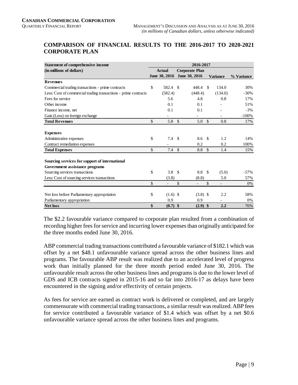#### **COMPARISON OF FINANCIAL RESULTS TO THE 2016-2017 TO 2020-2021 CORPORATE PLAN**

| <b>Statement of comprehensive income</b>                        | 2016-2017 |               |               |                       |               |                 |            |  |
|-----------------------------------------------------------------|-----------|---------------|---------------|-----------------------|---------------|-----------------|------------|--|
| (in millions of dollars)                                        |           | <b>Actual</b> |               | <b>Corporate Plan</b> |               |                 |            |  |
|                                                                 |           | June 30, 2016 |               | June 30, 2016         |               | <b>Variance</b> | % Variance |  |
| <b>Revenues</b>                                                 |           |               |               |                       |               |                 |            |  |
| Commercial trading transactions - prime contracts               | \$        | 582.4 \$      |               | 448.4                 | -S            | 134.0           | 30%        |  |
| Less: Cost of commercial trading transactions - prime contracts |           | (582.4)       |               | (448.4)               |               | (134.0)         | $-30%$     |  |
| Fees for service                                                |           | 5.6           |               | 4.8                   |               | 0.8             | 17%        |  |
| Other income                                                    |           | 0.1           |               | 0.1                   |               |                 | 51%        |  |
| Finance income, net                                             |           | 0.1           |               | 0.1                   |               |                 | $-3%$      |  |
| Gain (Loss) on foreign exchange                                 |           |               |               |                       |               |                 | $-100%$    |  |
| <b>Total Revenues</b>                                           | \$        | 5.8           | $\mathbb{S}$  | 5.0                   | $\mathcal{S}$ | 0.8             | 17%        |  |
|                                                                 |           |               |               |                       |               |                 |            |  |
| <b>Expenses</b>                                                 |           |               |               |                       |               |                 |            |  |
| Administrative expenses                                         | \$        | 7.4           | <sup>\$</sup> | 8.6 \$                |               | 1.2             | 14%        |  |
| Contract remediation expenses                                   |           |               |               | 0.2                   |               | 0.2             | 100%       |  |
| <b>Total Expenses</b>                                           | \$        | 7.4           | $\mathcal{S}$ | 8.8                   | $\mathbb{S}$  | 1.4             | 15%        |  |
| Sourcing services for support of international                  |           |               |               |                       |               |                 |            |  |
| Government assistance programs                                  |           |               |               |                       |               |                 |            |  |
| Sourcing services transactions                                  | \$        | 3.8           | -S            | 8.8                   | - \$          | (5.0)           | $-57\%$    |  |
| Less: Cost of sourcing services transactions                    |           | (3.8)         |               | (8.8)                 |               | 5.0             | 57%        |  |
|                                                                 | \$        |               | $\mathcal{S}$ |                       | \$            |                 | 0%         |  |
|                                                                 |           |               |               |                       |               |                 |            |  |
| Net loss before Parliamentary appropriation                     | \$        | $(1.6)$ \$    |               | $(3.8)$ \$            |               | 2.2             | 58%        |  |
| Parliamentary appropriation                                     |           | 0.9           |               | 0.9                   |               |                 | 0%         |  |
| <b>Net loss</b>                                                 | \$        | $(0.7)$ \$    |               | $(2.9)$ \$            |               | 2.2             | 76%        |  |

The \$2.2 favourable variance compared to corporate plan resulted from a combination of recording higher fees for service and incurring lower expenses than originally anticipated for the three months ended June 30, 2016.

ABP commercial trading transactions contributed a favourable variance of \$182.1 which was offset by a net \$48.1 unfavourable variance spread across the other business lines and programs. The favourable ABP result was realized due to an accelerated level of progress work than initially planned for the three month period ended June 30, 2016. The unfavourable result across the other business lines and programs is due to the lower level of GDS and ICB contracts signed in 2015-16 and so far into 2016-17 as delays have been encountered in the signing and/or effectivity of certain projects.

As fees for service are earned as contract work is delivered or completed, and are largely commensurate with commercial trading transactions, a similar result was realized. ABP fees for service contributed a favourable variance of \$1.4 which was offset by a net \$0.6 unfavourable variance spread across the other business lines and programs.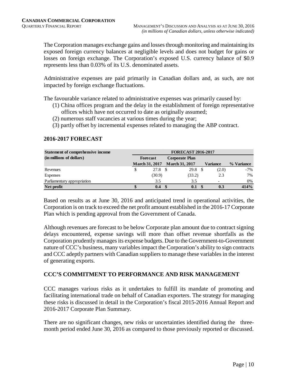The Corporation manages exchange gains and losses through monitoring and maintaining its exposed foreign currency balances at negligible levels and does not budget for gains or losses on foreign exchange. The Corporation's exposed U.S. currency balance of \$0.9 represents less than 0.03% of its U.S. denominated assets.

Administrative expenses are paid primarily in Canadian dollars and, as such, are not impacted by foreign exchange fluctuations.

The favourable variance related to administrative expenses was primarily caused by:

- (1) China offices program and the delay in the establishment of foreign representative offices which have not occurred to date as originally assumed;
- (2) numerous staff vacancies at various times during the year;
- (3) partly offset by incremental expenses related to managing the ABP contract.

| <b>Statement of comprehensive income</b> | <b>FORECAST 2016-2017</b> |                       |  |                       |  |                 |            |  |  |  |
|------------------------------------------|---------------------------|-----------------------|--|-----------------------|--|-----------------|------------|--|--|--|
| (in millions of dollars)                 |                           | Forecast              |  | Corporate Plan        |  |                 |            |  |  |  |
|                                          |                           | <b>March 31, 2017</b> |  | <b>March 31, 2017</b> |  | <b>Variance</b> | % Variance |  |  |  |
| Revenues                                 |                           | 27.8                  |  | 29.8                  |  | (2.0)           | $-7\%$     |  |  |  |
| Expenses                                 |                           | (30.9)                |  | (33.2)                |  | 2.3             | 7%         |  |  |  |
| Parliamentary appropriation              |                           | 3.5                   |  | 3.5                   |  |                 | 0%         |  |  |  |
| Net profit                               | D                         | 0.4                   |  | 0.1                   |  | 0.3             | 414%       |  |  |  |

### **2016-2017 FORECAST**

Based on results as at June 30, 2016 and anticipated trend in operational activities, the Corporation is on track to exceed the net profit amount established in the 2016-17 Corporate Plan which is pending approval from the Government of Canada.

Although revenues are forecast to be below Corporate plan amount due to contract signing delays encountered, expense savings will more than offset revenue shortfalls as the Corporation prudently manages its expense budgets. Due to the Government-to-Government nature of CCC's business, many variables impact the Corporation's ability to sign contracts and CCC adeptly partners with Canadian suppliers to manage these variables in the interest of generating exports.

## **CCC'S COMMITMENT TO PERFORMANCE AND RISK MANAGEMENT**

CCC manages various risks as it undertakes to fulfill its mandate of promoting and facilitating international trade on behalf of Canadian exporters. The strategy for managing these risks is discussed in detail in the Corporation's fiscal 2015-2016 Annual Report and 2016-2017 Corporate Plan Summary.

There are no significant changes, new risks or uncertainties identified during the threemonth period ended June 30, 2016 as compared to those previously reported or discussed.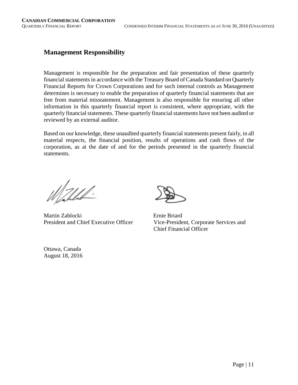## **Management Responsibility**

Management is responsible for the preparation and fair presentation of these quarterly financial statements in accordance with the Treasury Board of Canada Standard on Quarterly Financial Reports for Crown Corporations and for such internal controls as Management determines is necessary to enable the preparation of quarterly financial statements that are free from material misstatement. Management is also responsible for ensuring all other information in this quarterly financial report is consistent, where appropriate, with the quarterly financial statements. These quarterly financial statements have not been audited or reviewed by an external auditor.

Based on our knowledge, these unaudited quarterly financial statements present fairly, in all material respects, the financial position, results of operations and cash flows of the corporation, as at the date of and for the periods presented in the quarterly financial statements.

Walled.

Martin Zablocki Ernie Briard

President and Chief Executive Officer Vice-President, Corporate Services and Chief Financial Officer

Ottawa, Canada August 18, 2016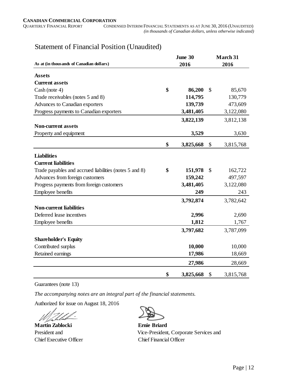CONDENSED INTERIM FINANCIAL STATEMENTS AS AT JUNE 30, 2016 (UNAUDITED)  *(in thousands of Canadian dollars, unless otherwise indicated)*

|                                                        | June 30         | <b>March 31</b> |           |  |
|--------------------------------------------------------|-----------------|-----------------|-----------|--|
| As at (in thousands of Canadian dollars)               | 2016            | 2016            |           |  |
| <b>Assets</b>                                          |                 |                 |           |  |
| <b>Current assets</b>                                  |                 |                 |           |  |
| Cash (note 4)                                          | \$<br>86,200    | $\mathcal{S}$   | 85,670    |  |
| Trade receivables (notes 5 and 8)                      | 114,795         |                 | 130,779   |  |
| Advances to Canadian exporters                         | 139,739         |                 | 473,609   |  |
| Progress payments to Canadian exporters                | 3,481,405       |                 | 3,122,080 |  |
|                                                        | 3,822,139       |                 | 3,812,138 |  |
| <b>Non-current assets</b>                              |                 |                 |           |  |
| Property and equipment                                 | 3,529           |                 | 3,630     |  |
|                                                        | \$<br>3,825,668 | \$              | 3,815,768 |  |
| <b>Liabilities</b>                                     |                 |                 |           |  |
| <b>Current liabilities</b>                             |                 |                 |           |  |
| Trade payables and accrued liabilities (notes 5 and 8) | \$<br>151,978   | $\mathcal{S}$   | 162,722   |  |
| Advances from foreign customers                        | 159,242         |                 | 497,597   |  |
| Progress payments from foreign customers               | 3,481,405       |                 | 3,122,080 |  |
| Employee benefits                                      | 249             |                 | 243       |  |
|                                                        | 3,792,874       |                 | 3,782,642 |  |
| <b>Non-current liabilities</b>                         |                 |                 |           |  |
| Deferred lease incentives                              | 2,996           |                 | 2,690     |  |
| Employee benefits                                      | 1,812           |                 | 1,767     |  |
|                                                        | 3,797,682       |                 | 3,787,099 |  |
| <b>Shareholder's Equity</b>                            |                 |                 |           |  |
| Contributed surplus                                    | 10,000          |                 | 10,000    |  |
| Retained earnings                                      | 17,986          |                 | 18,669    |  |
|                                                        |                 |                 |           |  |
|                                                        | 27,986          |                 | 28,669    |  |
|                                                        | \$<br>3,825,668 | \$              | 3,815,768 |  |

## Statement of Financial Position (Unaudited)

Guarantees (note 13)

*The accompanying notes are an integral part of the financial statements.*

Authorized for issue on August 18, 2016

**Martin Zablocki Ernie Briard**  Chief Executive Officer Chief Financial Officer

President and Vice-President, Corporate Services and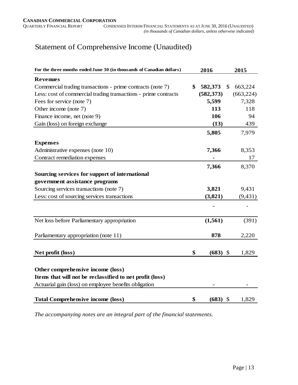# Statement of Comprehensive Income (Unaudited)

| For the three months ended June 30 (in thousands of Canadian dollars) | 2016             |                           | 2015       |
|-----------------------------------------------------------------------|------------------|---------------------------|------------|
| <b>Revenues</b>                                                       |                  |                           |            |
| Commercial trading transactions - prime contracts (note 7)            | \$<br>582,373    | \$                        | 663,224    |
| Less: cost of commercial trading transactions - prime contracts       | (582, 373)       |                           | (663, 224) |
| Fees for service (note 7)                                             | 5,599            |                           | 7,328      |
| Other income (note 7)                                                 | 113              |                           | 118        |
| Finance income, net (note 9)                                          | 106              |                           | 94         |
| Gain (loss) on foreign exchange                                       | (13)             |                           | 439        |
|                                                                       | 5,805            |                           | 7,979      |
| <b>Expenses</b>                                                       |                  |                           |            |
| Administrative expenses (note 10)                                     | 7,366            |                           | 8,353      |
| Contract remediation expenses                                         |                  |                           | 17         |
|                                                                       | 7,366            |                           | 8,370      |
| Sourcing services for support of international                        |                  |                           |            |
| government assistance programs                                        |                  |                           |            |
| Sourcing services transactions (note 7)                               | 3,821            |                           | 9,431      |
| Less: cost of sourcing services transactions                          | (3,821)          |                           | (9, 431)   |
|                                                                       |                  |                           |            |
| Net loss before Parliamentary appropriation                           | (1, 561)         |                           | (391)      |
| Parliamentary appropriation (note 11)                                 | 878              |                           | 2,220      |
| Net profit (loss)                                                     | \$<br>$(683)$ \$ |                           | 1,829      |
| Other comprehensive income (loss)                                     |                  |                           |            |
| Items that will not be reclassified to net profit (loss)              |                  |                           |            |
| Actuarial gain (loss) on employee benefits obligation                 |                  |                           |            |
| <b>Total Comprehensive income (loss)</b>                              | \$<br>(683)      | $\boldsymbol{\mathsf{S}}$ | 1,829      |

*The accompanying notes are an integral part of the financial statements.*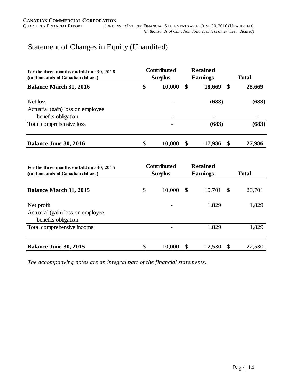# Statement of Changes in Equity (Unaudited)

| For the three months ended June 30, 2016<br>(in thousands of Canadian dollars) | <b>Contributed</b><br><b>Surplus</b> |        |    | <b>Retained</b><br><b>Earnings</b> | <b>Total</b> |        |  |
|--------------------------------------------------------------------------------|--------------------------------------|--------|----|------------------------------------|--------------|--------|--|
| <b>Balance March 31, 2016</b>                                                  | \$                                   | 10,000 | \$ | 18,669                             | -S           | 28,669 |  |
| Net loss                                                                       |                                      | ۰      |    | (683)                              |              | (683)  |  |
| Actuarial (gain) loss on employee                                              |                                      |        |    |                                    |              |        |  |
| benefits obligation                                                            |                                      | ۰      |    | ٠                                  |              |        |  |
| Total comprehensive loss                                                       |                                      |        |    | (683)                              |              | (683)  |  |
| Balance June 30, 2016                                                          | \$                                   | 10,000 | \$ | 17,986                             | \$           | 27,986 |  |

| For the three months ended June 30, 2015<br>(in thousands of Canadian dollars) | <b>Contributed</b><br><b>Surplus</b> |      | <b>Retained</b><br><b>Earnings</b> | <b>Total</b> |        |  |
|--------------------------------------------------------------------------------|--------------------------------------|------|------------------------------------|--------------|--------|--|
| <b>Balance March 31, 2015</b>                                                  | \$<br>10,000                         | - \$ | 10,701                             | -S           | 20,701 |  |
| Net profit                                                                     |                                      |      | 1,829                              |              | 1,829  |  |
| Actuarial (gain) loss on employee<br>benefits obligation                       |                                      |      | -                                  |              |        |  |
| Total comprehensive income                                                     |                                      |      | 1,829                              |              | 1,829  |  |
| Balance June 30, 2015                                                          | \$<br>10,000                         | \$   | 12,530                             |              | 22,530 |  |

*The accompanying notes are an integral part of the financial statements.*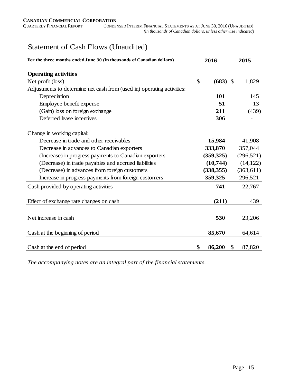$\,$  CONDENSED INTERIM FINANCIAL STATEMENTS AS AT JUNE 30, 2016 (UNAUDITED)  *(in thousands of Canadian dollars, unless otherwise indicated)*

# Statement of Cash Flows (Unaudited)

| For the three months ended June 30 (in thousands of Canadian dollars)  | 2016             |    | 2015       |
|------------------------------------------------------------------------|------------------|----|------------|
| <b>Operating activities</b>                                            |                  |    |            |
| Net profit (loss)                                                      | \$<br>$(683)$ \$ |    | 1,829      |
| Adjustments to determine net cash from (used in) operating activities: |                  |    |            |
| Depreciation                                                           | 101              |    | 145        |
| Employee benefit expense                                               | 51               |    | 13         |
| (Gain) loss on foreign exchange                                        | 211              |    | (439)      |
| Deferred lease incentives                                              | 306              |    |            |
| Change in working capital:                                             |                  |    |            |
| Decrease in trade and other receivables                                | 15,984           |    | 41,908     |
| Decrease in advances to Canadian exporters                             | 333,870          |    | 357,044    |
| (Increase) in progress payments to Canadian exporters                  | (359, 325)       |    | (296, 521) |
| (Decrease) in trade payables and accrued liabilities                   | (10,744)         |    | (14, 122)  |
| (Decrease) in advances from foreign customers                          | (338, 355)       |    | (363, 611) |
| Increase in progress payments from foreign customers                   | 359,325          |    | 296,521    |
| Cash provided by operating activities                                  | 741              |    | 22,767     |
| Effect of exchange rate changes on cash                                | (211)            |    | 439        |
| Net increase in cash                                                   | 530              |    | 23,206     |
|                                                                        | 85,670           |    |            |
| Cash at the beginning of period                                        |                  |    | 64,614     |
| Cash at the end of period                                              | \$<br>86,200     | S. | 87,820     |

*The accompanying notes are an integral part of the financial statements.*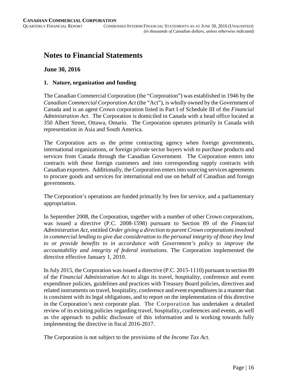# **Notes to Financial Statements**

#### **June 30, 2016**

#### **1. Nature, organization and funding**

The Canadian Commercial Corporation (the "Corporation") was established in 1946 by the *Canadian Commercial Corporation Act* (the "Act"), is wholly owned by the Government of Canada and is an agent Crown corporation listed in Part I of Schedule III of the *Financial Administration Act*. The Corporation is domiciled in Canada with a head office located at 350 Albert Street, Ottawa, Ontario. The Corporation operates primarily in Canada with representation in Asia and South America.

The Corporation acts as the prime contracting agency when foreign governments, international organizations, or foreign private sector buyers wish to purchase products and services from Canada through the Canadian Government. The Corporation enters into contracts with these foreign customers and into corresponding supply contracts with Canadian exporters. Additionally, the Corporation enters into sourcing services agreements to procure goods and services for international end use on behalf of Canadian and foreign governments.

The Corporation's operations are funded primarily by fees for service, and a parliamentary appropriation.

In September 2008, the Corporation, together with a number of other Crown corporations, was issued a directive (P.C. 2008-1598) pursuant to Section 89 of the *Financial Administration Act*, entitled *Order giving a direction to parent Crown corporations involved in commercial lending to give due consideration to the personal integrity of those they lend to or provide benefits to in accordance with Government's policy to improve the accountability and integrity of federal institutions*. The Corporation implemented the directive effective January 1, 2010.

In July 2015, the Corporation was issued a directive (P.C. 2015-1110) pursuant to section 89 of the *Financial Administration Act* to align its travel, hospitality, conference and event expenditure policies, guidelines and practices with Treasury Board policies, directives and related instruments on travel, hospitality, conference and event expenditures in a manner that is consistent with its legal obligations, and to report on the implementation of this directive in the Corporation's next corporate plan. The Corporation has undertaken a detailed review of its existing policies regarding travel, hospitality, conferences and events, as well as the approach to public disclosure of this information and is working towards fully implementing the directive in fiscal 2016-2017.

The Corporation is not subject to the provisions of the *Income Tax Act*.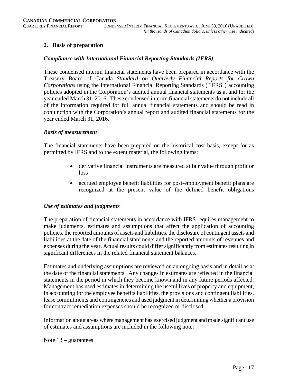### **2. Basis of preparation**

#### *Compliance with International Financial Reporting Standards (IFRS)*

These condensed interim financial statements have been prepared in accordance with the Treasury Board of Canada *Standard on Quarterly Financial Reports for Crown Corporations* using the International Financial Reporting Standards ("IFRS") accounting policies adopted in the Corporation's audited annual financial statements as at and for the year ended March 31, 2016. These condensed interim financial statements do not include all of the information required for full annual financial statements and should be read in conjunction with the Corporation's annual report and audited financial statements for the year ended March 31, 2016.

#### *Basis of measurement*

The financial statements have been prepared on the historical cost basis, except for as permitted by IFRS and to the extent material, the following items:

- derivative financial instruments are measured at fair value through profit or loss
- accrued employee benefit liabilities for post-employment benefit plans are recognized at the present value of the defined benefit obligations

#### *Use of estimates and judgments*

The preparation of financial statements in accordance with IFRS requires management to make judgments, estimates and assumptions that affect the application of accounting policies, the reported amounts of assets and liabilities, the disclosure of contingent assets and liabilities at the date of the financial statements and the reported amounts of revenues and expenses during the year. Actual results could differ significantly from estimates resulting in significant differences in the related financial statement balances.

Estimates and underlying assumptions are reviewed on an ongoing basis and in detail as at the date of the financial statements. Any changes in estimates are reflected in the financial statements in the period in which they become known and in any future periods affected. Management has used estimates in determining the useful lives of property and equipment, in accounting for the employee benefits liabilities, the provisions and contingent liabilities, lease commitments and contingencies and used judgment in determining whether a provision for contract remediation expenses should be recognized or disclosed.

Information about areas where management has exercised judgment and made significant use of estimates and assumptions are included in the following note:

Note 13 – guarantees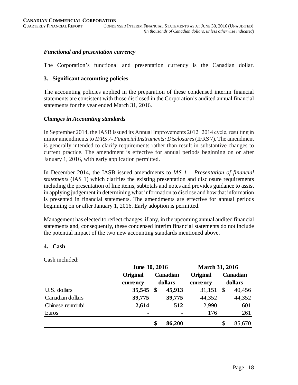#### *Functional and presentation currency*

The Corporation's functional and presentation currency is the Canadian dollar.

#### **3. Significant accounting policies**

The accounting policies applied in the preparation of these condensed interim financial statements are consistent with those disclosed in the Corporation's audited annual financial statements for the year ended March 31, 2016.

#### *Changes in Accounting standards*

In September 2014, the IASB issued its Annual Improvements 2012−2014 cycle, resulting in minor amendments to *IFRS 7- Financial Instruments: Disclosures*(IFRS 7). The amendment is generally intended to clarify requirements rather than result in substantive changes to current practice. The amendment is effective for annual periods beginning on or after January 1, 2016, with early application permitted.

In December 2014, the IASB issued amendments to *IAS 1 – Presentation of financial statements* (IAS 1) which clarifies the existing presentation and disclosure requirements including the presentation of line items, subtotals and notes and provides guidance to assist in applying judgement in determining what information to disclose and how that information is presented in financial statements. The amendments are effective for annual periods beginning on or after January 1, 2016. Early adoption is permitted.

Management has elected to reflect changes, if any, in the upcoming annual audited financial statements and, consequently, these condensed interim financial statements do not include the potential impact of the two new accounting standards mentioned above.

#### **4. Cash**

Cash included:

|                  | June 30, 2016  |                     |        | <b>March 31, 2016</b> |    |          |
|------------------|----------------|---------------------|--------|-----------------------|----|----------|
|                  | Original       | Canadian<br>dollars |        | <b>Original</b>       |    | Canadian |
|                  | currency       |                     |        | currency              |    | dollars  |
| U.S. dollars     | 35,545         | $\mathbf{\$}$       | 45,913 | 31,151                | S  | 40,456   |
| Canadian dollars | 39,775         |                     | 39,775 | 44,352                |    | 44,352   |
| Chinese renminbi | 2,614          |                     | 512    | 2,990                 |    | 601      |
| Euros            | $\blacksquare$ |                     | -      | 176                   |    | 261      |
|                  |                | \$                  | 86,200 |                       | \$ | 85,670   |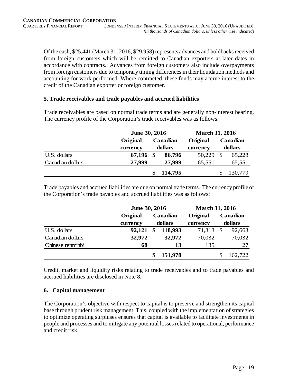Of the cash, \$25,441 (March 31, 2016, \$29,958) represents advances and holdbacks received from foreign customers which will be remitted to Canadian exporters at later dates in accordance with contracts. Advances from foreign customers also include overpayments from foreign customers due to temporary timing differences in their liquidation methods and accounting for work performed. Where contracted, these funds may accrue interest to the credit of the Canadian exporter or foreign customer.

#### **5. Trade receivables and trade payables and accrued liabilities**

Trade receivables are based on normal trade terms and are generally non-interest bearing. The currency profile of the Corporation's trade receivables was as follows:

|                  | June 30, 2016 |         |          | <b>March 31, 2016</b> |         |          |  |
|------------------|---------------|---------|----------|-----------------------|---------|----------|--|
|                  | Original      |         | Canadian | Original              |         | Canadian |  |
|                  | currency      | dollars |          | currency              | dollars |          |  |
| U.S. dollars     | 67,196        |         | 86,796   | 50,229                | \$      | 65,228   |  |
| Canadian dollars | 27,999        |         | 27,999   | 65,551                |         | 65,551   |  |
|                  |               |         | 114,795  |                       |         | 130,779  |  |

Trade payables and accrued liabilities are due on normal trade terms. The currency profile of the Corporation's trade payables and accrued liabilities was as follows:

|                  |          | June 30, 2016 |                 |          | <b>March 31, 2016</b> |          |  |         |
|------------------|----------|---------------|-----------------|----------|-----------------------|----------|--|---------|
|                  | Original |               | <b>Canadian</b> | Original |                       | Canadian |  |         |
|                  | currency | dollars       |                 |          |                       | currency |  | dollars |
| U.S. dollars     | 92,121   | \$            | 118,993         | 71,313   |                       | 92,663   |  |         |
| Canadian dollars | 32,972   |               | 32,972          | 70,032   |                       | 70,032   |  |         |
| Chinese renminbi | 68       |               | 13              | 135      |                       | 27       |  |         |
|                  |          |               | 151,978         |          |                       | 162,722  |  |         |

Credit, market and liquidity risks relating to trade receivables and to trade payables and accrued liabilities are disclosed in Note 8.

#### **6. Capital management**

The Corporation's objective with respect to capital is to preserve and strengthen its capital base through prudent risk management. This, coupled with the implementation of strategies to optimize operating surpluses ensures that capital is available to facilitate investments in people and processes and to mitigate any potential losses related to operational, performance and credit risk.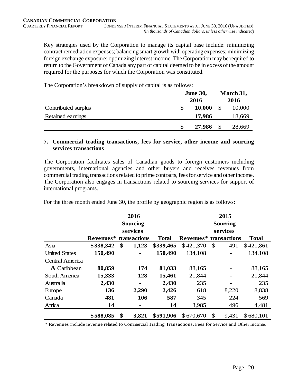Key strategies used by the Corporation to manage its capital base include: minimizing contract remediation expenses; balancing smart growth with operating expenses; minimizing foreign exchange exposure; optimizing interest income. The Corporation may be required to return to the Government of Canada any part of capital deemed to be in excess of the amount required for the purposes for which the Corporation was constituted.

The Corporation's breakdown of supply of capital is as follows:

|                     | <b>June 30,</b> | March 31, |
|---------------------|-----------------|-----------|
|                     | 2016            | 2016      |
| Contributed surplus | 10,000<br>\$    | 10,000    |
| Retained earnings   | 17,986          | 18,669    |
|                     | 27,986<br>\$    | 28,669    |

#### **7. Commercial trading transactions, fees for service, other income and sourcing services transactions**

The Corporation facilitates sales of Canadian goods to foreign customers including governments, international agencies and other buyers and receives revenues from commercial trading transactions related to prime contracts, fees for service and other income. The Corporation also engages in transactions related to sourcing services for support of international programs.

For the three month ended June 30, the profile by geographic region is as follows:

|                      |           |                 | 2016         |                 | 2015                   |               |                          |              |  |
|----------------------|-----------|-----------------|--------------|-----------------|------------------------|---------------|--------------------------|--------------|--|
|                      |           | <b>Sourcing</b> |              | <b>Sourcing</b> |                        |               |                          |              |  |
|                      |           |                 | services     |                 |                        |               | services                 |              |  |
|                      | Revenues* |                 | transactions | <b>Total</b>    | Revenues* transactions |               |                          | <b>Total</b> |  |
| Asia                 | \$338,342 | \$              | 1,123        | \$339,465       | \$421,370              | $\mathcal{S}$ | 491                      | \$421,861    |  |
| <b>United States</b> | 150,490   |                 |              | 150,490         | 134,108                |               |                          | 134,108      |  |
| Central America      |           |                 |              |                 |                        |               |                          |              |  |
| & Caribbean          | 80,859    |                 | 174          | 81,033          | 88,165                 |               |                          | 88,165       |  |
| South America        | 15,333    |                 | 128          | 15,461          | 21,844                 |               |                          | 21,844       |  |
| Australia            | 2,430     |                 | ۰            | 2,430           | 235                    |               | $\overline{\phantom{0}}$ | 235          |  |
| Europe               | 136       |                 | 2,290        | 2,426           | 618                    |               | 8,220                    | 8,838        |  |
| Canada               | 481       |                 | 106          | 587             | 345                    |               | 224                      | 569          |  |
| Africa               | 14        |                 | ۰            | 14              | 3,985                  |               | 496                      | 4,481        |  |
|                      | \$588,085 | \$              | 3,821        | \$591,906       | \$670,670              | \$            | 9,431                    | \$680,101    |  |

\* Revenues include revenue related to Commercial Trading Transactions, Fees for Service and Other Income.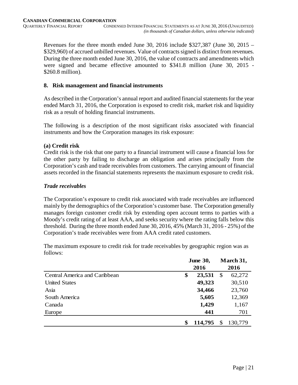Revenues for the three month ended June 30, 2016 include \$327,387 (June 30, 2015 – \$329,960) of accrued unbilled revenues. Value of contracts signed is distinct from revenues. During the three month ended June 30, 2016, the value of contracts and amendments which were signed and became effective amounted to \$341.8 million (June 30, 2015 - \$260.8 million).

#### **8. Risk management and financial instruments**

As described in the Corporation's annual report and audited financial statements for the year ended March 31, 2016, the Corporation is exposed to credit risk, market risk and liquidity risk as a result of holding financial instruments.

The following is a description of the most significant risks associated with financial instruments and how the Corporation manages its risk exposure:

### **(a) Credit risk**

Credit risk is the risk that one party to a financial instrument will cause a financial loss for the other party by failing to discharge an obligation and arises principally from the Corporation's cash and trade receivables from customers. The carrying amount of financial assets recorded in the financial statements represents the maximum exposure to credit risk.

### *Trade receivables*

The Corporation's exposure to credit risk associated with trade receivables are influenced mainly by the demographics of the Corporation's customer base. The Corporation generally manages foreign customer credit risk by extending open account terms to parties with a Moody's credit rating of at least AAA, and seeks security where the rating falls below this threshold. During the three month ended June 30, 2016, 45% (March 31, 2016 - 25%) of the Corporation's trade receivables were from AAA credit rated customers.

|                               | <b>June 30,</b> |         | March 31,     |
|-------------------------------|-----------------|---------|---------------|
|                               |                 | 2016    | 2016          |
| Central America and Caribbean | \$              | 23,531  | \$<br>62,272  |
| <b>United States</b>          |                 | 49,323  | 30,510        |
| Asia                          |                 | 34,466  | 23,760        |
| South America                 |                 | 5,605   | 12,369        |
| Canada                        |                 | 1,429   | 1,167         |
| Europe                        |                 | 441     | 701           |
|                               |                 | 114,795 | \$<br>130,779 |

The maximum exposure to credit risk for trade receivables by geographic region was as follows: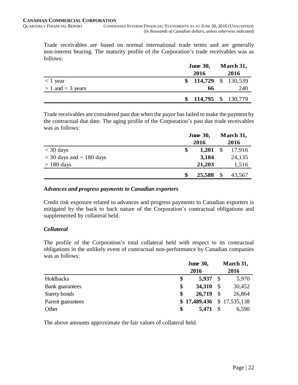Trade receivables are based on normal international trade terms and are generally non-interest bearing. The maturity profile of the Corporation's trade receivables was as follows:

|                       | <b>June 30,</b>      |  | March 31, |
|-----------------------|----------------------|--|-----------|
|                       | 2016                 |  | 2016      |
| $<$ 1 year            | $$114,729 \$130,539$ |  |           |
| $> 1$ and $<$ 3 years | 66                   |  | 240       |
|                       | $$114,795 \$130,779$ |  |           |

Trade receivables are considered past due when the payor has failed to make the payment by the contractual due date. The aging profile of the Corporation's past due trade receivables was as follows:

|                              | <b>June 30,</b> |        | March 31,     |        |
|------------------------------|-----------------|--------|---------------|--------|
|                              |                 | 2016   |               | 2016   |
| $<$ 30 days                  |                 | 1,201  | <sup>\$</sup> | 17,916 |
| $>$ 30 days and $<$ 180 days |                 | 3,184  |               | 24,135 |
| $> 180$ days                 |                 | 21,203 |               | 1,516  |
|                              |                 | 25,588 | \$            | 43,567 |

#### *Advances and progress payments to Canadian exporters*

Credit risk exposure related to advances and progress payments to Canadian exporters is mitigated by the back to back nature of the Corporation's contractual obligations and supplemented by collateral held.

#### *Collateral*

The profile of the Corporation's total collateral held with respect to its contractual obligations in the unlikely event of contractual non-performance by Canadian companies was as follows:

|                   | <b>June 30,</b>            |               | March 31, |  |  |
|-------------------|----------------------------|---------------|-----------|--|--|
|                   | 2016                       |               | 2016      |  |  |
| Holdbacks         | \$<br>5,937                | $\mathcal{S}$ | 5,970     |  |  |
| Bank guarantees   | \$<br>34,310               | $\mathcal{S}$ | 30,452    |  |  |
| Surety bonds      | \$<br>26,719               | $\mathcal{S}$ | 26,864    |  |  |
| Parent guarantees | $$17,489,436 \$17,535,138$ |               |           |  |  |
| Other             | \$<br>5,471                | S             | 6,590     |  |  |

The above amounts approximate the fair values of collateral held.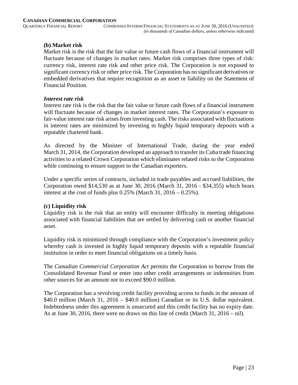### **(b) Market risk**

Market risk is the risk that the fair value or future cash flows of a financial instrument will fluctuate because of changes in market rates. Market risk comprises three types of risk: currency risk, interest rate risk and other price risk. The Corporation is not exposed to significant currency risk or other price risk. The Corporation has no significant derivatives or embedded derivatives that require recognition as an asset or liability on the Statement of Financial Position.

#### *Interest rate risk*

Interest rate risk is the risk that the fair value or future cash flows of a financial instrument will fluctuate because of changes in market interest rates. The Corporation's exposure to fair-value interest rate risk arises from investing cash. The risks associated with fluctuations in interest rates are minimized by investing in highly liquid temporary deposits with a reputable chartered bank.

As directed by the Minister of International Trade, during the year ended March 31, 2014, the Corporation developed an approach to transfer its Cuba trade financing activities to a related Crown Corporation which eliminates related risks to the Corporation while continuing to ensure support to the Canadian exporters.

Under a specific series of contracts, included in trade payables and accrued liabilities, the Corporation owed \$14,530 as at June 30, 2016 (March 31, 2016 - \$34,355) which bears interest at the cost of funds plus  $0.25\%$  (March 31,  $2016 - 0.25\%$ ).

#### **(c) Liquidity risk**

Liquidity risk is the risk that an entity will encounter difficulty in meeting obligations associated with financial liabilities that are settled by delivering cash or another financial asset.

Liquidity risk is minimized through compliance with the Corporation's investment policy whereby cash is invested in highly liquid temporary deposits with a reputable financial institution in order to meet financial obligations on a timely basis.

The *Canadian Commercial Corporation Act* permits the Corporation to borrow from the Consolidated Revenue Fund or enter into other credit arrangements or indemnities from other sources for an amount not to exceed \$90.0 million.

The Corporation has a revolving credit facility providing access to funds in the amount of \$40.0 million (March 31, 2016 – \$40.0 million) Canadian or its U.S. dollar equivalent. Indebtedness under this agreement is unsecured and this credit facility has no expiry date. As at June 30, 2016, there were no draws on this line of credit (March 31, 2016 – nil).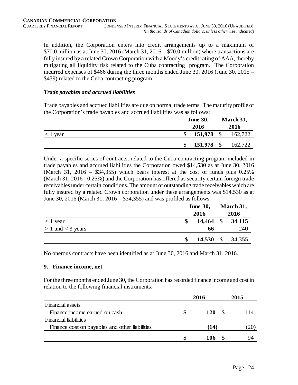In addition, the Corporation enters into credit arrangements up to a maximum of \$70.0 million as at June 30, 2016 (March 31, 2016 – \$70.0 million) where transactions are fully insured by a related Crown Corporation with a Moody's credit rating of AAA, thereby mitigating all liquidity risk related to the Cuba contracting program. The Corporation incurred expenses of \$466 during the three months ended June 30, 2016 (June 30, 2015 – \$439) related to the Cuba contracting program.

#### *Trade payables and accrued liabilities*

Trade payables and accrued liabilities are due on normal trade terms. The maturity profile of the Corporation's trade payables and accrued liabilities was as follows:

|            | <b>June 30,</b>  |               | March 31, |  |
|------------|------------------|---------------|-----------|--|
|            | 2016             |               | 2016      |  |
| $<$ 1 year | 151,978          | $\mathcal{S}$ | 162,722   |  |
|            | \$<br>151,978 \$ |               | 162,722   |  |

Under a specific series of contracts, related to the Cuba contracting program included in trade payables and accrued liabilities the Corporation owed \$14,530 as at June 30, 2016 (March 31, 2016 – \$34,355) which bears interest at the cost of funds plus  $0.25\%$ (March 31, 2016 - 0.25%) and the Corporation has offered as security certain foreign trade receivables under certain conditions. The amount of outstanding trade receivables which are fully insured by a related Crown corporation under these arrangements was \$14,530 as at June 30, 2016 (March 31, 2016 – \$34,355) and was profiled as follows:

|                       | <b>June 30,</b> |             | March 31, |        |
|-----------------------|-----------------|-------------|-----------|--------|
|                       |                 | 2016        |           | 2016   |
| $<$ 1 year            |                 | $14,464$ \$ |           | 34,115 |
| $> 1$ and $<$ 3 years |                 | 66          |           | 240    |
|                       |                 | $14,530$ \$ |           | 34,355 |

No onerous contracts have been identified as at June 30, 2016 and March 31, 2016.

#### **9. Finance income, net**

For the three months ended June 30, the Corporation has recorded finance income and cost in relation to the following financial instruments:

|                                                | 2016  | 2015 |  |
|------------------------------------------------|-------|------|--|
| <b>Financial assets</b>                        |       |      |  |
| Finance income earned on cash                  | 120 S | 114  |  |
| <b>Financial liabilities</b>                   |       |      |  |
| Finance cost on payables and other liabilities | (14)  | (20) |  |
|                                                | 106   |      |  |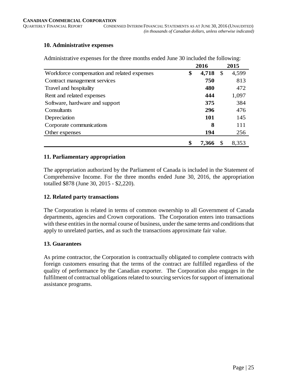#### **10. Administrative expenses**

|                                             | 2016        |               | 2015  |
|---------------------------------------------|-------------|---------------|-------|
| Workforce compensation and related expenses | \$<br>4,718 | $\mathcal{S}$ | 4,599 |
| Contract management services                | 750         |               | 813   |
| Travel and hospitality                      | 480         |               | 472   |
| Rent and related expenses                   | 444         |               | 1,097 |
| Software, hardware and support              | 375         |               | 384   |
| Consultants                                 | 296         |               | 476   |
| Depreciation                                | 101         |               | 145   |
| Corporate communications                    | 8           |               | 111   |
| Other expenses                              | 194         |               | 256   |
|                                             | 7.366       |               | 8,353 |

Administrative expenses for the three months ended June 30 included the following:

#### **11. Parliamentary appropriation**

The appropriation authorized by the Parliament of Canada is included in the Statement of Comprehensive Income. For the three months ended June 30, 2016, the appropriation totalled \$878 (June 30, 2015 - \$2,220).

#### **12. Related party transactions**

The Corporation is related in terms of common ownership to all Government of Canada departments, agencies and Crown corporations. The Corporation enters into transactions with these entities in the normal course of business, under the same terms and conditions that apply to unrelated parties, and as such the transactions approximate fair value.

#### **13. Guarantees**

As prime contractor, the Corporation is contractually obligated to complete contracts with foreign customers ensuring that the terms of the contract are fulfilled regardless of the quality of performance by the Canadian exporter. The Corporation also engages in the fulfilment of contractual obligations related to sourcing services for support of international assistance programs.